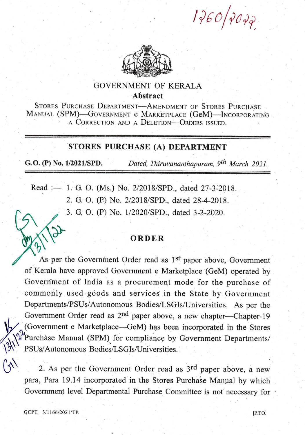$1760/7077$ 



## GOVERNMENT OF KERALA Abstract

STORES PURCHASE DEPARTMENT-AMENDMENT OF STORES PURCHASE MANUAL (SPM)-GOVERNMENT e MARKETPLACE (GeM)-lNCORPORATING A CORRECTION AND A DELETION-ORDERS ISSUED.

## STORES PURCHASE (A) DEPARTMENT

G.O. (P) No. 1/2021/SPD. Dated, Thiruvananthapuram,  $9<sup>th</sup> March 2021$ .

Read :- 1. G. O. (Ms.) No. 2/2018/SPD., dated 27-3-2018. 2. G. O. (P) No. 2/2018/SPD., dated 28-4-2018. 3. G. O. (P) No. 1/2020/SPD., dated 3-3-2020.

## **ORDER**

As per the Government Order read as 1<sup>st</sup> paper above, Government of Kerala have approved Government e Marketplace (GeM) operated by Government of India as a procurement mode for the purchase of commonly used goods and services in the State by Government Departments/PSUs/Autonomous Bodies/LSGIs/Universities. As per the Government Order read as 2<sup>nd</sup> paper above, a new chapter-Chapter-19 (Government e Marketplace—GeM) has been incorporated in the Stores Purchase Manual (SPM) for compliance by Government Departments/ PSUs/Autonomous Bodies/LSGIs/Universities.

2. As per the Government Order read as 3<sup>rd</sup> paper above, a new para, Para 19.14 incorporated in the Stores Purchase Manual by which Government level Departmental Purchase Committee is not necessary for

 $\mathcal{C}$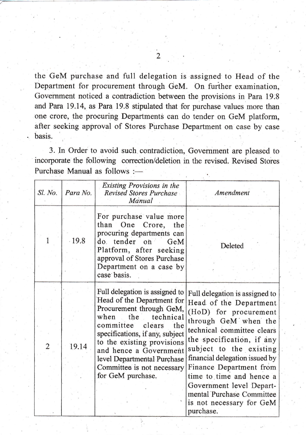the GeM purchase and full delegation is assigned to Head of the Department for procurement through GeM. On further examination, Government noticed a contradiction between the provisions in Para 19.8 and Para 19.14, as Para 19.8 stipulated that for purchase values more than one crore, the procuring Departments can do tender on GeM platform, after seeking approval of Stores Purchase Department on case by case . basis.

3. In Order to avoid such.contradiction, Govemment are pleased to incorporate the following correction/deletion in the revised. Revised Stores Purchase Manual as follows :-

| Sl. No.<br>Para No.     | <b>Existing Provisions in the</b><br>Revised Stores Purchase<br>Manual                                                                                                                                                                                                                                                          | Amendment                                                                                                                                                                                                                                                                                                                                                                                  |
|-------------------------|---------------------------------------------------------------------------------------------------------------------------------------------------------------------------------------------------------------------------------------------------------------------------------------------------------------------------------|--------------------------------------------------------------------------------------------------------------------------------------------------------------------------------------------------------------------------------------------------------------------------------------------------------------------------------------------------------------------------------------------|
| $-19.8$                 | For purchase value more<br>than One Crore,<br>the<br>procuring departments can<br>do tender<br>0 <sup>h</sup><br>GeM<br>Platform, after seeking<br>approval of Stores Purchase<br>Department on a case by<br>case basis.                                                                                                        | Deleted                                                                                                                                                                                                                                                                                                                                                                                    |
| 19.14<br>$\overline{2}$ | Full delegation is assigned to<br>Head of the Department for<br>Procurement through GeM,<br>when<br>the<br>technical<br>committee<br>clears<br>the<br>specifications, if any, subject<br>to the existing provisions<br>and hence a Government<br>level Departmental Purchase<br>Committee is not necessary<br>for GeM purchase. | Full delegation is assigned to<br>Head of the Department<br>(HoD) for procurement<br>through GeM when the<br>technical committee clears<br>the specification, if any<br>subject to the existing<br>financial delegation issued by<br>Finance Department from<br>time to time and hence a<br>Government level Depart-<br>mental Purchase Committee<br>is not necessary for GeM<br>purchase. |

 $\mathfrak{D}$